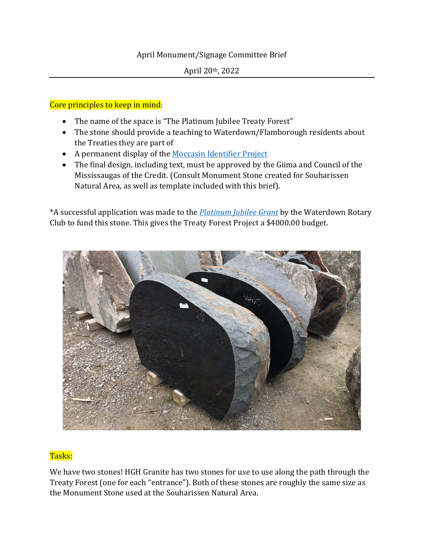## April Monument/Signage Committee Brief

## Core principles to keep in mind:

- The name of the space is "The Platinum Jubilee Treaty Forest"
- The stone should provide a teaching to Waterdown/Flamborough residents about the Treaties they are part of
- A permanent display of the [Moccasin Identifier Project](https://moccasinidentifier.com/)
- The final design, including text, must be approved by the Giima and Council of the Mississaugas of the Credit. (Consult Monument Stone created for Souharissen Natural Area, as well as template included with this brief).

\*A successful application was made to the *[Platinum Jubilee Grant](https://www.canada.ca/en/canadian-heritage/services/funding/platinum-jubilee.html)* by the Waterdown Rotary Club to fund this stone. This gives the Treaty Forest Project a \$4000.00 budget.



## Tasks:

We have two stones! HGH Granite has two stones for use to use along the path through the Treaty Forest (one for each "entrance"). Both of these stones are roughly the same size as the Monument Stone used at the Souharissen Natural Area.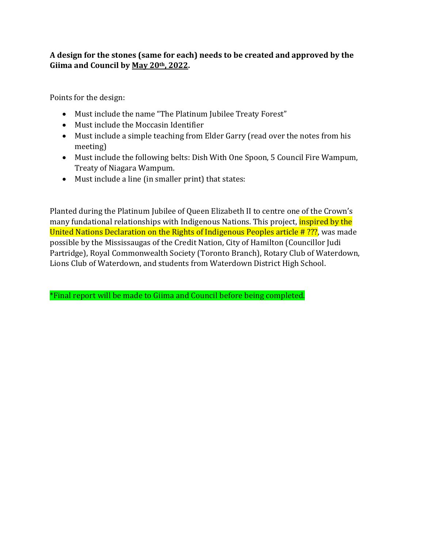## **A design for the stones (same for each) needs to be created and approved by the Giima and Council by May 20th, 2022.**

Points for the design:

- Must include the name "The Platinum Jubilee Treaty Forest"
- Must include the Moccasin Identifier
- Must include a simple teaching from Elder Garry (read over the notes from his meeting)
- Must include the following belts: Dish With One Spoon, 5 Council Fire Wampum, Treaty of Niagara Wampum.
- Must include a line (in smaller print) that states:

Planted during the Platinum Jubilee of Queen Elizabeth II to centre one of the Crown's many fundational relationships with Indigenous Nations. This project, inspired by the United Nations Declaration on the Rights of Indigenous Peoples article # ???, was made possible by the Mississaugas of the Credit Nation, City of Hamilton (Councillor Judi Partridge), Royal Commonwealth Society (Toronto Branch), Rotary Club of Waterdown, Lions Club of Waterdown, and students from Waterdown District High School.

\*Final report will be made to Giima and Council before being completed.